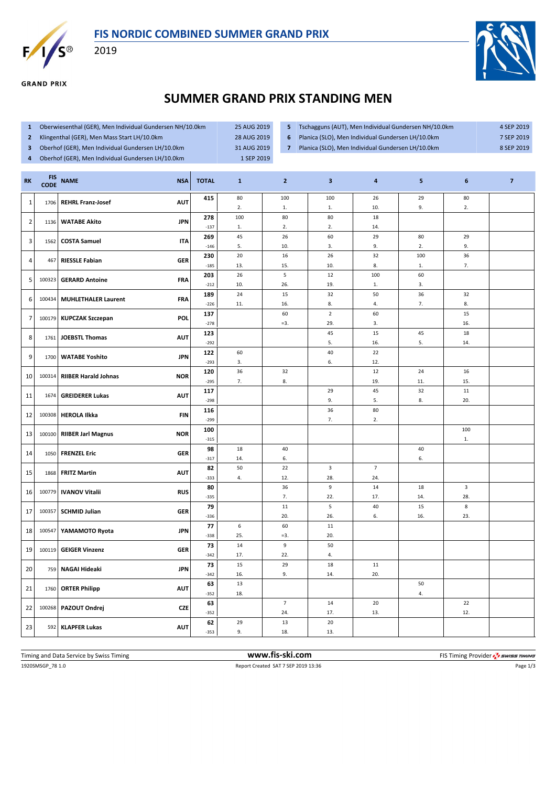



**GRAND PRIX** 

2019



## **SUMMER GRAND PRIX STANDING MEN**

- **1** Oberwiesenthal (GER), Men Individual Gundersen NH/10.0km 25 AUG 2019
- **2** Klingenthal (GER), Men Mass Start LH/10.0km 28 AUG 2019
- **3** Oberhof (GER), Men Individual Gundersen LH/10.0km 31 AUG 2019
- **4** Oberhof (GER), Men Individual Gundersen LH/10.0km 1 SEP 2019
- 
- 
- 
- **6** Planica (SLO), Men Individual Gundersen LH/10.0km 7 SEP 2019

**5** Tschagguns (AUT), Men Individual Gundersen NH/10.0km 4 SEP 2019

**7** Planica (SLO), Men Individual Gundersen LH/10.0km 8 SEP 2019

| <b>RK</b>      | <b>FIS</b><br><b>CODE</b> | <b>NAME</b>                 | <b>NSA</b> | <b>TOTAL</b>  | $\mathbf{1}$     | $\overline{2}$ | $\overline{\mathbf{3}}$ | 4              | 5         | 6                       | $\overline{7}$ |
|----------------|---------------------------|-----------------------------|------------|---------------|------------------|----------------|-------------------------|----------------|-----------|-------------------------|----------------|
| $\mathbf{1}$   | 1706                      | <b>REHRL Franz-Josef</b>    | <b>AUT</b> | 415           | 80<br>2.         | 100<br>1.      | 100<br>1.               | 26<br>10.      | 29<br>9.  | $80\,$<br>2.            |                |
| $\overline{2}$ | 1136                      | <b>WATABE Akito</b>         | <b>JPN</b> | 278           | 100              | 80             | 80                      | 18             |           |                         |                |
|                |                           |                             |            | $-137$        | 1.               | 2.             | 2.                      | 14.            |           |                         |                |
| 3              | 1562                      | <b>COSTA Samuel</b>         | <b>ITA</b> | 269           | 45               | 26             | 60                      | 29             | 80        | 29                      |                |
|                |                           |                             |            | $-146$<br>230 | 5.<br>20         | 10.<br>16      | 3.<br>26                | 9.<br>32       | 2.<br>100 | 9.<br>36                |                |
| 4              | 467                       | <b>RIESSLE Fabian</b>       | <b>GER</b> | $-185$        | 13.              | 15.            | 10.                     | 8.             | 1.        | 7.                      |                |
|                |                           |                             |            | 203           | 26               | 5              | 12                      | 100            | 60        |                         |                |
| 5              | 100323                    | <b>GERARD Antoine</b>       | <b>FRA</b> | $-212$        | 10.              | 26.            | 19.                     | 1.             | 3.        |                         |                |
| 6              | 100434                    | <b>MUHLETHALER Laurent</b>  | <b>FRA</b> | 189           | 24               | 15             | 32                      | 50             | 36        | 32                      |                |
|                |                           |                             |            | $-226$        | 11.              | 16.            | 8.                      | 4.             | 7.        | 8.                      |                |
| 7              | 100179                    | <b>KUPCZAK Szczepan</b>     | <b>POL</b> | 137<br>$-278$ |                  | 60<br>$=3.$    | $\overline{2}$<br>29.   | 60<br>3.       |           | 15<br>16.               |                |
|                |                           |                             |            | 123           |                  |                | 45                      | 15             | 45        | 18                      |                |
| 8              | 1761                      | <b>JOEBSTL Thomas</b>       | <b>AUT</b> | $-292$        |                  |                | 5.                      | 16.            | 5.        | 14.                     |                |
| 9              | 1700                      | <b>WATABE Yoshito</b>       | <b>JPN</b> | 122           | 60               |                | 40                      | 22             |           |                         |                |
|                |                           |                             |            | $-293$        | 3.               |                | 6.                      | 12.            |           |                         |                |
| 10             | 100314                    | <b>RIIBER Harald Johnas</b> | <b>NOR</b> | 120           | 36               | 32             |                         | $12\,$         | 24        | 16                      |                |
|                |                           |                             |            | $-295$        | 7.               | 8.             | 29                      | 19.            | 11.       | 15.                     |                |
| 11             | 1674                      | <b>GREIDERER Lukas</b>      | <b>AUT</b> | 117<br>$-298$ |                  |                | 9.                      | 45<br>5.       | 32<br>8.  | 11<br>20.               |                |
|                |                           |                             |            | 116           |                  |                | 36                      | 80             |           |                         |                |
| 12             | 100308                    | <b>HEROLA Ilkka</b>         | <b>FIN</b> | $-299$        |                  |                | 7.                      | 2.             |           |                         |                |
| 13             | 100100                    | <b>RIIBER Jarl Magnus</b>   | <b>NOR</b> | 100           |                  |                |                         |                |           | 100                     |                |
|                |                           |                             |            | $-315$        |                  |                |                         |                |           | 1.                      |                |
| 14             | 1050                      | <b>FRENZEL Eric</b>         | <b>GER</b> | 98            | 18               | 40             |                         |                | 40        |                         |                |
|                |                           |                             |            | $-317$<br>82  | 14.<br>50        | 6.<br>22       | 3                       | $\overline{7}$ | 6.        |                         |                |
| 15             | 1868                      | <b>FRITZ Martin</b>         | <b>AUT</b> | $-333$        | 4.               | 12.            | 28.                     | 24.            |           |                         |                |
|                | 100779                    | <b>IVANOV Vitalii</b>       | <b>RUS</b> | 80            |                  | 36             | 9                       | 14             | 18        | $\overline{\mathbf{3}}$ |                |
| 16             |                           |                             |            | $-335$        |                  | 7.             | 22.                     | 17.            | 14.       | 28.                     |                |
| 17             | 100357                    | <b>SCHMID Julian</b>        | <b>GER</b> | 79            |                  | 11             | 5                       | $40\,$         | 15        | $\bf 8$                 |                |
|                |                           |                             |            | $-336$<br>77  | $\boldsymbol{6}$ | 20.<br>60      | 26.<br>11               | 6.             | 16.       | 23.                     |                |
| 18             | 100547                    | YAMAMOTO Ryota              | <b>JPN</b> | $-338$        | 25.              | $= 3.$         | 20.                     |                |           |                         |                |
|                |                           |                             |            | 73            | 14               | 9              | 50                      |                |           |                         |                |
| 19             | 100119                    | <b>GEIGER Vinzenz</b>       | <b>GER</b> | $-342$        | 17.              | 22.            | 4.                      |                |           |                         |                |
| 20             | 759                       | <b>NAGAI Hideaki</b>        | <b>JPN</b> | 73            | 15               | 29             | 18                      | $11\,$         |           |                         |                |
|                |                           |                             |            | $-342$        | 16.              | 9.             | 14.                     | 20.            |           |                         |                |
| 21             | 1760                      | <b>ORTER Philipp</b>        | <b>AUT</b> | 63<br>$-352$  | 13<br>18.        |                |                         |                | 50<br>4.  |                         |                |
|                |                           |                             |            | 63            |                  | $\overline{7}$ | 14                      | $20\,$         |           | 22                      |                |
| 22             | 100268                    | PAZOUT Ondrej               | <b>CZE</b> | $-352$        |                  | 24.            | 17.                     | 13.            |           | 12.                     |                |
|                |                           |                             |            | 62            | 29               | 13             | 20                      |                |           |                         |                |
| 23             | 592                       | <b>KLAPFER Lukas</b>        | <b>AUT</b> | $-353$        | 9.               | 18.            | 13.                     |                |           |                         |                |

1920SMSGP\_78 1.0 Report Created SAT 7 SEP 2019 13:36 Page 1/3 Timing and Data Service by Swiss Timing **www.fis-ski.com www.fis-ski.com** FIS Timing Provider  $\frac{7}{2}$  swiss Timing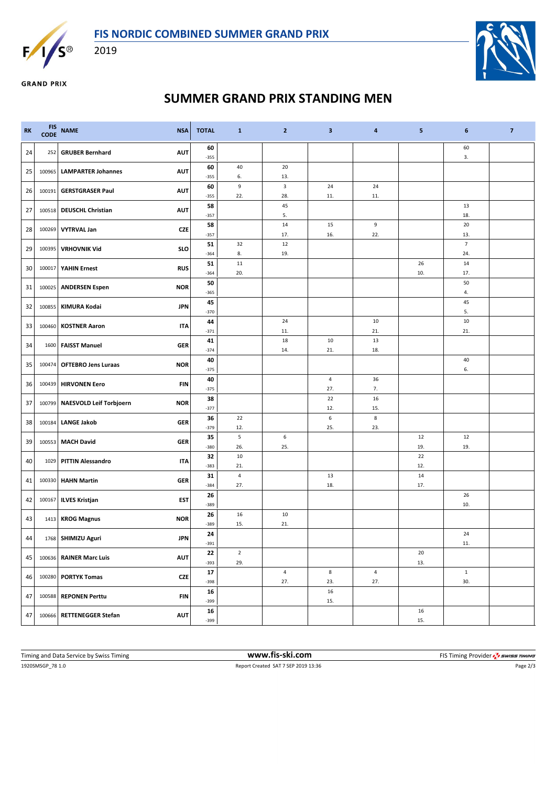



2019



**GRAND PRIX** 

## **SUMMER GRAND PRIX STANDING MEN**

| <b>RK</b> |        | FIS NAME<br><b>NSA</b>                       | <b>TOTAL</b> | $\mathbf{1}$           | $\overline{2}$     | $\mathbf{3}$ | 4              | 5         | 6              | $\overline{7}$ |
|-----------|--------|----------------------------------------------|--------------|------------------------|--------------------|--------------|----------------|-----------|----------------|----------------|
| 24        | 252    | <b>GRUBER Bernhard</b><br><b>AUT</b>         | 60<br>$-355$ |                        |                    |              |                |           | 60<br>3.       |                |
| 25        | 100965 | <b>AUT</b><br><b>LAMPARTER Johannes</b>      | 60           | 40                     | 20                 |              |                |           |                |                |
|           |        |                                              | $-355$<br>60 | 6.<br>$\boldsymbol{9}$ | 13.<br>$\mathsf 3$ | 24           | 24             |           |                |                |
| 26        | 100191 | <b>AUT</b><br><b>GERSTGRASER Paul</b>        | $-355$       | 22.                    | 28.                | 11.          | 11.            |           |                |                |
| 27        |        | <b>AUT</b><br>100518 DEUSCHL Christian       | 58           |                        | 45                 |              |                |           | 13             |                |
|           |        |                                              | $-357$       |                        | 5.                 |              |                |           | 18.            |                |
| 28        | 100269 | <b>VYTRVAL Jan</b><br><b>CZE</b>             | 58<br>$-357$ |                        | 14<br>17.          | 15<br>16.    | 9<br>22.       |           | 20<br>13.      |                |
|           |        |                                              | 51           | 32                     | 12                 |              |                |           | $\overline{7}$ |                |
| 29        | 100395 | <b>VRHOVNIK Vid</b><br><b>SLO</b>            | $-364$       | 8.                     | 19.                |              |                |           | 24.            |                |
| 30        |        | 100017 YAHIN Ernest<br><b>RUS</b>            | 51           | 11                     |                    |              |                | 26        | 14             |                |
|           |        |                                              | $-364$       | 20.                    |                    |              |                | 10.       | 17.            |                |
| 31        |        | <b>NOR</b><br>100025 ANDERSEN Espen          | 50<br>$-365$ |                        |                    |              |                |           | 50<br>4.       |                |
|           |        |                                              | 45           |                        |                    |              |                |           | 45             |                |
| 32        |        | 100855 KIMURA Kodai<br><b>JPN</b>            | $-370$       |                        |                    |              |                |           | 5.             |                |
| 33        | 100460 | <b>KOSTNER Aaron</b><br><b>ITA</b>           | 44           |                        | 24                 |              | 10             |           | 10             |                |
|           |        |                                              | $-371$<br>41 |                        | 11.<br>18          | 10           | 21.<br>13      |           | 21.            |                |
| 34        |        | 1600 FAISST Manuel<br><b>GER</b>             | $-374$       |                        | 14.                | 21.          | 18.            |           |                |                |
|           |        |                                              | 40           |                        |                    |              |                |           | 40             |                |
| 35        | 100474 | <b>NOR</b><br><b>OFTEBRO Jens Luraas</b>     | $-375$       |                        |                    |              |                |           | 6.             |                |
| 36        |        | 100439 HIRVONEN Eero<br>FIN                  | 40           |                        |                    | 4            | 36             |           |                |                |
|           |        |                                              | $-375$<br>38 |                        |                    | 27.<br>22    | 7.<br>16       |           |                |                |
| 37        |        | 100799 NAESVOLD Leif Torbjoern<br><b>NOR</b> | $-377$       |                        |                    | 12.          | 15.            |           |                |                |
|           |        | <b>LANGE Jakob</b><br><b>GER</b>             | 36           | 22                     |                    | 6            | 8              |           |                |                |
| 38        | 100184 |                                              | $-379$       | 12.                    |                    | 25.          | 23.            |           |                |                |
| 39        | 100553 | <b>MACH David</b><br><b>GER</b>              | 35           | 5                      | 6                  |              |                | 12        | 12             |                |
|           |        |                                              | $-380$<br>32 | 26.<br>10              | 25.                |              |                | 19.<br>22 | 19.            |                |
| 40        |        | 1029 PITTIN Alessandro<br>ITA                | $-383$       | 21.                    |                    |              |                | 12.       |                |                |
|           |        | 100330 HAHN Martin<br><b>GER</b>             | 31           | $\sqrt{4}$             |                    | 13           |                | 14        |                |                |
| 41        |        |                                              | $-384$       | 27.                    |                    | 18.          |                | 17.       |                |                |
| 42        |        | 100167 ILVES Kristjan<br>EST                 | 26           |                        |                    |              |                |           | 26             |                |
|           |        |                                              | $-389$<br>26 | 16                     | 10                 |              |                |           | 10.            |                |
| 43        |        | 1413 KROG Magnus<br><b>NOR</b>               | $-389$       | 15.                    | 21.                |              |                |           |                |                |
| 44        |        | 1768 SHIMIZU Aguri<br><b>JPN</b>             | 24           |                        |                    |              |                |           | 24             |                |
|           |        |                                              | $-391$       |                        |                    |              |                |           | 11.            |                |
| 45        |        | <b>AUT</b><br>100636 RAINER Marc Luis        | 22           | $\overline{2}$<br>29.  |                    |              |                | 20        |                |                |
|           |        |                                              | $-393$<br>17 |                        | $\overline{4}$     | 8            | $\overline{4}$ | 13.       | $1\,$          |                |
| 46        | 100280 | <b>CZE</b><br><b>PORTYK Tomas</b>            | $-398$       |                        | 27.                | 23.          | 27.            |           | 30.            |                |
| 47        |        | 100588 REPONEN Perttu<br><b>FIN</b>          | 16           |                        |                    | 16           |                |           |                |                |
|           |        |                                              | $-399$       |                        |                    | 15.          |                |           |                |                |
| 47        |        | 100666 RETTENEGGER Stefan<br><b>AUT</b>      | 16<br>$-399$ |                        |                    |              |                | 16<br>15. |                |                |
|           |        |                                              |              |                        |                    |              |                |           |                |                |

1920SMSGP\_78 1.0 Report Created SAT 7 SEP 2019 13:36 Page 2/3 Timing and Data Service by Swiss Timing **WWW.fis-Ski.com WWW.fis-Ski.com** FIS Timing Provider  $\frac{7}{2}$  SWISS Timing Provider